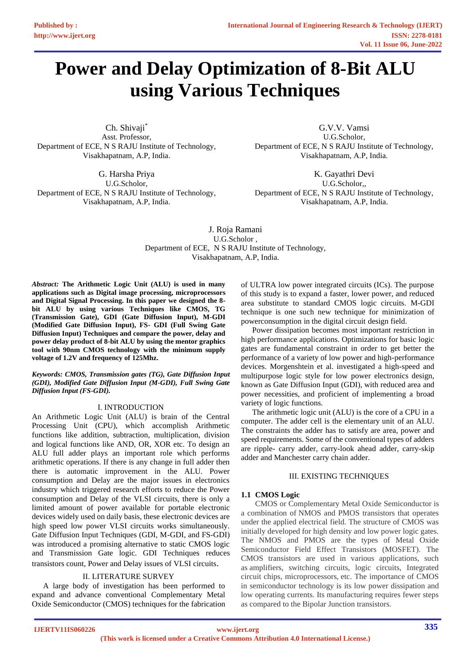# **Power and Delay Optimization of 8-Bit ALU using Various Techniques**

Ch. Shivaji\* Asst. Professor, Department of ECE, N S RAJU Institute of Technology, Visakhapatnam, A.P, India.

G. Harsha Priya U.G.Scholor, Department of ECE, N S RAJU Institute of Technology, Visakhapatnam, A.P, India.

G.V.V. Vamsi U.G.Scholor, Department of ECE, N S RAJU Institute of Technology, Visakhapatnam, A.P, India.

K. Gayathri Devi U.G.Scholor,, Department of ECE, N S RAJU Institute of Technology, Visakhapatnam, A.P, India.

J. Roja Ramani U.G.Scholor , Department of ECE, N S RAJU Institute of Technology, Visakhapatnam, A.P, India.

*Abstract:* **The Arithmetic Logic Unit (ALU) is used in many applications such as Digital image processing, microprocessors and Digital Signal Processing. In this paper we designed the 8 bit ALU by using various Techniques like CMOS, TG (Transmission Gate), GDI (Gate Diffusion Input), M-GDI (Modified Gate Diffusion Input), FS- GDI (Full Swing Gate Diffusion Input) Techniques and compare the power, delay and power delay product of 8-bit ALU by using the mentor graphics tool with 90nm CMOS technology with the minimum supply voltage of 1.2V and frequency of 125Mhz.**

*Keywords: CMOS, Transmission gates (TG), Gate Diffusion Input (GDI), Modified Gate Diffusion Input (M-GDI), Full Swing Gate Diffusion Input (FS-GDI).* 

## Ⅰ. INTRODUCTION

An Arithmetic Logic Unit (ALU) is brain of the Central Processing Unit (CPU), which accomplish Arithmetic functions like addition, subtraction, multiplication, division and logical functions like AND, OR, XOR etc. To design an ALU full adder plays an important role which performs arithmetic operations. If there is any change in full adder then there is automatic improvement in the ALU. Power consumption and Delay are the major issues in electronics industry which triggered research efforts to reduce the Power consumption and Delay of the VLSI circuits, there is only a limited amount of power available for portable electronic devices widely used on daily basis, these electronic devices are high speed low power VLSI circuits works simultaneously. Gate Diffusion Input Techniques (GDI, M-GDI, and FS-GDI) was introduced a promising alternative to static CMOS logic and Transmission Gate logic. GDI Techniques reduces transistors count, Power and Delay issues of VLSI circuits.

#### II. LITERATURE SURVEY

A large body of investigation has been performed to expand and advance conventional Complementary Metal Oxide Semiconductor (CMOS) techniques for the fabrication of ULTRA low power integrated circuits (ICs). The purpose of this study is to expand a faster, lower power, and reduced area substitute to standard CMOS logic circuits. M-GDI technique is one such new technique for minimization of powerconsumption in the digital circuit design field.

Power dissipation becomes most important restriction in high performance applications. Optimizations for basic logic gates are fundamental constraint in order to get better the performance of a variety of low power and high-performance devices. Morgenshtein et al. investigated a high-speed and multipurpose logic style for low power electronics design, known as Gate Diffusion Input (GDI), with reduced area and power necessities, and proficient of implementing a broad variety of logic functions.

The arithmetic logic unit (ALU) is the core of a CPU in a computer. The adder cell is the elementary unit of an ALU. The constraints the adder has to satisfy are area, power and speed requirements. Some of the conventional types of adders are ripple- carry adder, carry-look ahead adder, carry-skip adder and Manchester carry chain adder.

#### III. EXISTING TECHNIQUES

## **1.1 CMOS Logic**

CMOS or Complementary Metal Oxide Semiconductor is a combination of NMOS and PMOS transistors that operates under the applied electrical field. The structure of CMOS was initially developed for high density and low power logic gates. The NMOS and PMOS are the types of Metal Oxide Semiconductor Field Effect Transistors (MOSFET). The CMOS transistors are used in various applications, such as amplifiers, switching circuits, logic circuits, Integrated circuit chips, microprocessors, etc. The importance of CMOS in semiconductor technology is its low power dissipation and low operating currents. Its manufacturing requires fewer steps as compared to the Bipolar Junction transistors.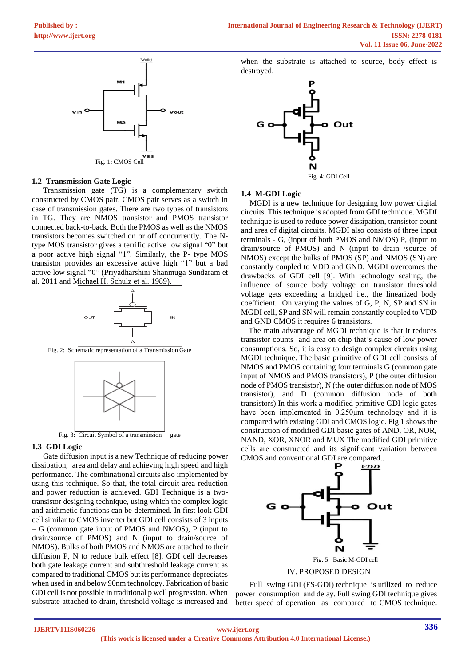

### **1.2 Transmission Gate Logic**

Transmission gate (TG) is a complementary switch constructed by CMOS pair. CMOS pair serves as a switch in case of transmission gates. There are two types of transistors in TG. They are NMOS transistor and PMOS transistor connected back-to-back. Both the PMOS as well as the NMOS transistors becomes switched on or off concurrently. The Ntype MOS transistor gives a terrific active low signal "0" but a poor active high signal "1". Similarly, the P- type MOS transistor provides an excessive active high "1" but a bad active low signal "0" (Priyadharshini Shanmuga Sundaram et al. 2011 and Michael H. Schulz et al. 1989).



Fig. 2: Schematic representation of a Transmission Gate



Fig. 3: Circuit Symbol of a transmission gate

#### **1.3 GDI Logic**

Gate diffusion input is a new Technique of reducing power dissipation, area and delay and achieving high speed and high performance. The combinational circuits also implemented by using this technique. So that, the total circuit area reduction and power reduction is achieved. GDI Technique is a twotransistor designing technique, using which the complex logic and arithmetic functions can be determined. In first look GDI cell similar to CMOS inverter but GDI cell consists of 3 inputs – G (common gate input of PMOS and NMOS), P (input to drain/source of PMOS) and N (input to drain/source of NMOS). Bulks of both PMOS and NMOS are attached to their diffusion P, N to reduce bulk effect [8]. GDI cell decreases both gate leakage current and subthreshold leakage current as compared to traditional CMOS but its performance depreciates when used in and below 90nm technology. Fabrication of basic GDI cell is not possible in traditional p well progression. When substrate attached to drain, threshold voltage is increased and

when the substrate is attached to source, body effect is destroyed.



#### **1.4 M-GDI Logic**

MGDI is a new technique for designing low power digital circuits. This technique is adopted from GDI technique. MGDI technique is used to reduce power dissipation, transistor count and area of digital circuits. MGDI also consists of three input terminals - G, (input of both PMOS and NMOS) P, (input to drain/source of PMOS) and N (input to drain /source of NMOS) except the bulks of PMOS (SP) and NMOS (SN) are constantly coupled to VDD and GND, MGDI overcomes the drawbacks of GDI cell [9]. With technology scaling, the influence of source body voltage on transistor threshold voltage gets exceeding a bridged i.e., the linearized body coefficient. On varying the values of G, P, N, SP and SN in MGDI cell, SP and SN will remain constantly coupled to VDD and GND CMOS it requires 6 transistors.

The main advantage of MGDI technique is that it reduces transistor counts and area on chip that's cause of low power consumptions. So, it is easy to design complex circuits using MGDI technique. The basic primitive of GDI cell consists of NMOS and PMOS containing four terminals G (common gate input of NMOS and PMOS transistors), P (the outer diffusion node of PMOS transistor), N (the outer diffusion node of MOS transistor), and D (common diffusion node of both transistors).In this work a modified primitive GDI logic gates have been implemented in 0.250μm technology and it is compared with existing GDI and CMOS logic. Fig 1 shows the construction of modified GDI basic gates of AND, OR, NOR, NAND, XOR, XNOR and MUX The modified GDI primitive cells are constructed and its significant variation between CMOS and conventional GDI are compared..



Full swing GDI (FS-GDI) technique is utilized to reduce power consumption and delay. Full swing GDI technique gives better speed of operation as compared to CMOS technique.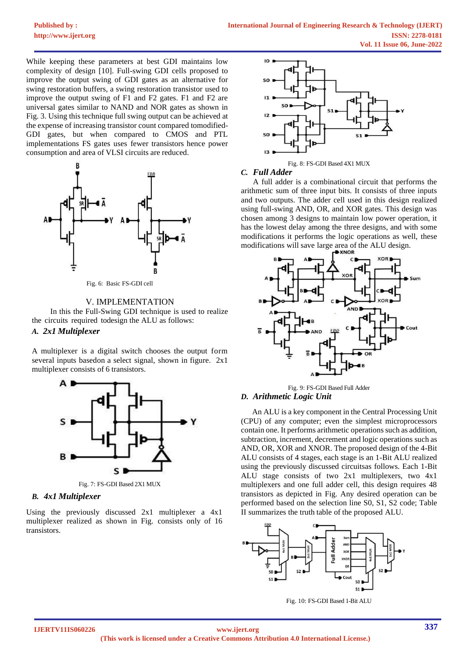While keeping these parameters at best GDI maintains low complexity of design [10]. Full-swing GDI cells proposed to improve the output swing of GDI gates as an alternative for swing restoration buffers, a swing restoration transistor used to improve the output swing of F1 and F2 gates. F1 and F2 are universal gates similar to NAND and NOR gates as shown in Fig. 3. Using this technique full swing output can be achieved at the expense of increasing transistor count compared tomodified-GDI gates, but when compared to CMOS and PTL implementations FS gates uses fewer transistors hence power consumption and area of VLSI circuits are reduced.



Fig. 6: Basic FS-GDI cell

#### V. IMPLEMENTATION

In this the Full-Swing GDI technique is used to realize the circuits required todesign the ALU as follows:

## *A. 2x1 Multiplexer*

A multiplexer is a digital switch chooses the output form several inputs basedon a select signal, shown in figure. 2x1 multiplexer consists of 6 transistors.



Fig. 7: FS-GDI Based 2X1 MUX

## *B. 4x1 Multiplexer*

Using the previously discussed 2x1 multiplexer a 4x1 multiplexer realized as shown in Fig. consists only of 16 transistors.



## *C. Full Adder*

A full adder is a combinational circuit that performs the arithmetic sum of three input bits. It consists of three inputs and two outputs. The adder cell used in this design realized using full-swing AND, OR, and XOR gates. This design was chosen among 3 designs to maintain low power operation, it has the lowest delay among the three designs, and with some modifications it performs the logic operations as well, these modifications will save large area of the ALU design.



Fig. 9: FS-GDI Based Full Adder *D. Arithmetic Logic Unit*

An ALU is a key component in the Central Processing Unit (CPU) of any computer; even the simplest microprocessors contain one. It performs arithmetic operations such as addition, subtraction, increment, decrement and logic operations such as AND, OR, XOR and XNOR. The proposed design of the 4-Bit ALU consists of 4 stages, each stage is an 1-Bit ALU realized using the previously discussed circuitsas follows. Each 1-Bit ALU stage consists of two 2x1 multiplexers, two 4x1 multiplexers and one full adder cell, this design requires 48 transistors as depicted in Fig. Any desired operation can be performed based on the selection line S0, S1, S2 code; Table II summarizes the truth table of the proposed ALU.



Fig. 10: FS-GDI Based 1-Bit ALU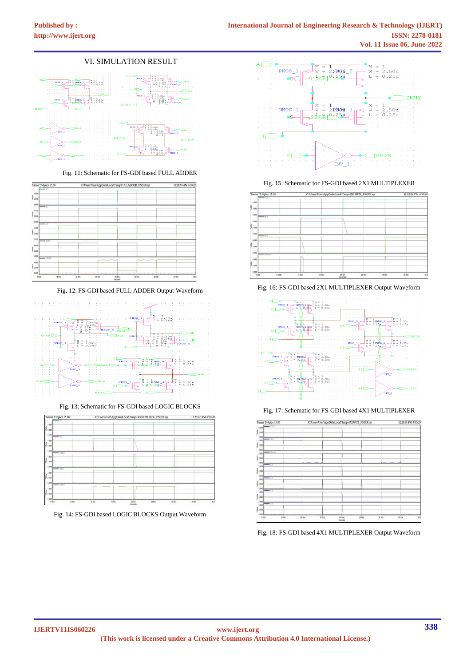# VI. SIMULATION RESULT



Fig. 11: Schematic for FS-GDI based FULL ADDER



Fig. 12: FS-GDI based FULL ADDER Output Waveform



Fig. 13: Schematic for FS-GDI based LOGIC BLOCKS



Fig. 14: FS-GDI based LOGIC BLOCKS Output Waveform



Fig. 15: Schematic for FS-GDI based 2X1 MULTIPLEXER



Fig. 16: FS-GDI based 2X1 MULTIPLEXER Output Waveform



Fig. 17: Schematic for FS-GDI based 4X1 MULTIPLEXER

| Tanner T-Spice 15.00      |                | C/Users/User\AppData\Local\Temp\4X1MUX_FSGDI.xp |       |        | 12:26:08 PM 4/30/202 |  |
|---------------------------|----------------|-------------------------------------------------|-------|--------|----------------------|--|
| $\rightarrow$ 117<br>110  |                |                                                 |       |        |                      |  |
|                           |                |                                                 |       |        |                      |  |
| ğ cm                      |                |                                                 |       |        |                      |  |
| 1105                      |                |                                                 |       |        |                      |  |
| $-11$<br>5,880            |                |                                                 |       |        |                      |  |
| ğ.                        |                |                                                 |       |        |                      |  |
|                           |                |                                                 |       |        |                      |  |
| 1.102<br><b>CALL OF</b>   |                |                                                 |       |        |                      |  |
| 1100                      |                |                                                 |       |        |                      |  |
| ğ 234                     |                |                                                 |       |        |                      |  |
| 1105                      |                |                                                 |       |        |                      |  |
| $\rightarrow$<br>1595     |                |                                                 |       |        |                      |  |
|                           |                |                                                 |       |        |                      |  |
| §zas                      |                |                                                 |       |        |                      |  |
| (18)                      |                |                                                 |       |        |                      |  |
| $\rightarrow$ 19<br>5.500 |                |                                                 |       |        |                      |  |
| ğ 230                     |                |                                                 |       |        |                      |  |
|                           |                |                                                 |       |        |                      |  |
| 1.185<br>$+11$<br>5.880   |                |                                                 |       |        |                      |  |
|                           |                |                                                 |       |        |                      |  |
| ğ 2300                    |                |                                                 |       |        |                      |  |
| 1105                      |                |                                                 |       |        |                      |  |
| $-0.1$<br>110             |                |                                                 |       |        |                      |  |
| ទ្វី រស                   |                |                                                 |       |        |                      |  |
|                           |                |                                                 |       |        |                      |  |
| $1101 -$                  |                |                                                 |       |        |                      |  |
| státe<br>6.00             | 24.08<br>35.30 | 45 BSV<br>AZ.                                   | stite | st.ide | tiate                |  |

Fig. 18: FS-GDI based 4X1 MULTIPLEXER Output Waveform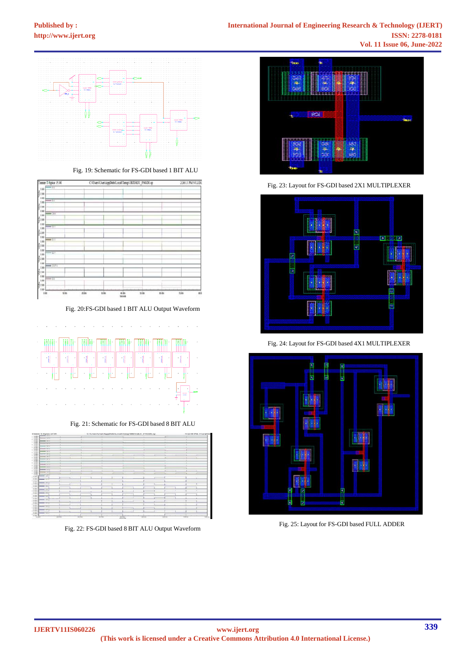

Fig. 19: Schematic for FS-GDI based 1 BIT ALU

| Tanner T-Spice 15.00          |        |      |         | C:\Users\User\AppData\Local\Temp\IBITALU_FSGDLsp |       | 2:26:13 PM 5/12/202 |                |
|-------------------------------|--------|------|---------|--------------------------------------------------|-------|---------------------|----------------|
| $-1V$<br>1388                 |        |      |         |                                                  |       |                     |                |
| <b>E</b> LINE                 |        |      |         |                                                  |       |                     |                |
| 1181<br>$-17$                 |        |      |         |                                                  |       |                     |                |
| 110                           |        |      |         |                                                  |       |                     |                |
| \$198<br>116                  |        |      |         |                                                  |       |                     |                |
| $-0.0$<br>1188                |        |      |         |                                                  |       |                     |                |
| 5110                          |        |      |         |                                                  |       |                     |                |
| 1186<br>$\rightarrow$ 11 Y    |        |      |         |                                                  |       |                     |                |
| 1.188                         |        |      |         |                                                  |       |                     |                |
| \$110                         |        |      |         |                                                  |       |                     |                |
| 118<br>$\rightarrow$<br>1.886 |        |      |         |                                                  |       |                     |                |
| 2.598                         |        |      |         |                                                  |       |                     |                |
| 1181                          |        |      |         |                                                  |       |                     |                |
| $-17$<br>1101                 |        |      |         |                                                  |       |                     |                |
| 2588                          |        |      |         |                                                  |       |                     |                |
| 1101<br>$\rightarrow$ may     |        |      |         |                                                  |       |                     |                |
| 1,181                         |        |      |         |                                                  |       |                     |                |
| 2.586                         |        |      |         |                                                  |       |                     |                |
| 110<br>$-0.11$<br>5.888       |        |      |         |                                                  |       |                     |                |
| šm                            |        |      |         |                                                  |       |                     |                |
| 1101                          |        |      |         |                                                  |       |                     |                |
| $\overline{u}$<br>m<br>101    | 21 lin | 3150 | 41 life | stite                                            | 48.Mm | 76.85               | $\overline{a}$ |

Fig. 20:FS-GDI based 1 BIT ALU Output Waveform



Fig. 21: Schematic for FS-GDI based 8 BIT ALU

| Timmer T-Newce 15.00                |              |        | C/Cwen/UverAppDateLocalTempABITALU_PSGDLap |   |        | 4.12.48 794 5/12/2022 |
|-------------------------------------|--------------|--------|--------------------------------------------|---|--------|-----------------------|
| --<br>16, 16, 66, 66                |              |        |                                            |   |        |                       |
| er ers                              | <b>STATE</b> |        |                                            |   |        |                       |
| 4,446<br>$-$ 10 $+$                 |              |        |                                            |   |        |                       |
| $+200$                              |              |        |                                            |   |        |                       |
| $-0.013$                            |              |        |                                            |   |        |                       |
| $-301$                              |              |        |                                            |   | $\sim$ |                       |
| $1 - 100$<br>$-111$                 |              |        |                                            |   |        |                       |
| $4 - 10$                            |              |        |                                            |   |        |                       |
| <b>Barry Star To</b>                |              | $\sim$ |                                            |   |        |                       |
| $-200$                              |              |        |                                            |   |        |                       |
| $-10.1$                             |              |        |                                            |   |        |                       |
| <b>Catal</b>                        |              |        |                                            |   |        |                       |
|                                     |              | $\sim$ |                                            |   |        |                       |
| --<br>--                            |              |        |                                            |   |        |                       |
| ALCOHOL:<br>4.117<br><b>Support</b> |              |        |                                            |   |        |                       |
| $-111$                              |              |        |                                            |   |        |                       |
| di contro                           |              |        |                                            | - | -      |                       |
| $-2.11$                             |              |        |                                            | ٠ |        |                       |
| in case.<br>_<br>.                  |              |        |                                            |   |        |                       |
| --                                  |              |        |                                            |   |        |                       |
| 250                                 |              |        |                                            |   |        |                       |
| -<br>--                             |              |        |                                            |   |        |                       |
| $-0.0000$                           |              |        |                                            |   |        |                       |
| $-200$                              |              |        |                                            |   |        |                       |
| ÷                                   |              |        |                                            |   |        |                       |
| 7.7                                 |              |        |                                            |   |        |                       |
|                                     |              |        |                                            |   |        |                       |
| <b>STATISTICS</b>                   |              |        |                                            |   |        |                       |
|                                     |              |        |                                            |   |        |                       |
| - -                                 |              |        |                                            |   |        |                       |
| =<br>. .                            |              |        |                                            |   |        |                       |
|                                     |              |        |                                            |   |        |                       |
| --                                  |              |        |                                            |   |        |                       |
|                                     |              |        |                                            |   |        |                       |
| 25.3                                |              |        |                                            |   |        |                       |
| =<br>-                              |              |        |                                            |   |        |                       |
|                                     |              |        |                                            |   |        |                       |
| ÷                                   |              |        |                                            |   |        |                       |
|                                     |              |        |                                            |   |        |                       |
| ÷<br>=                              |              |        |                                            |   |        |                       |
|                                     |              |        |                                            |   |        |                       |

Fig. 22: FS-GDI based 8 BIT ALU Output Waveform



Fig. 23: Layout for FS-GDI based 2X1 MULTIPLEXER



Fig. 24: Layout for FS-GDI based 4X1 MULTIPLEXER



Fig. 25: Layout for FS-GDI based FULL ADDER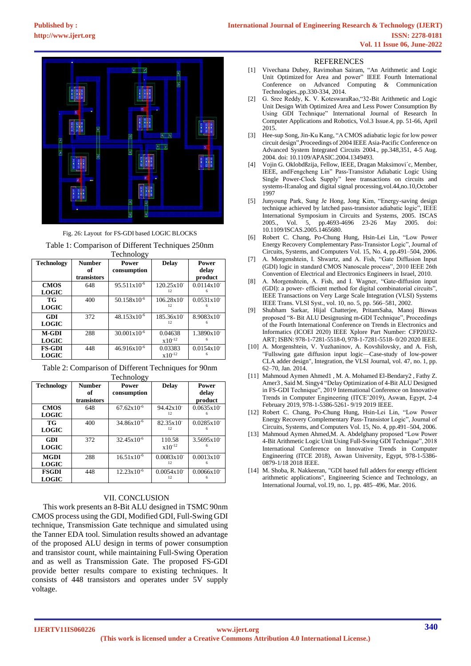

Fig. 26: Layout for FS-GDI based LOGIC BLOCKS

|                    |                     | Table 1: Comparison of Different Techniques 250nm |              |                |  |  |  |  |  |
|--------------------|---------------------|---------------------------------------------------|--------------|----------------|--|--|--|--|--|
| Technology         |                     |                                                   |              |                |  |  |  |  |  |
| Technology         | <b>Number</b><br>of | Power<br>consumption                              | <b>Delay</b> | Power<br>delay |  |  |  |  |  |
|                    | transistors         |                                                   |              | product        |  |  |  |  |  |
| <b>CMOS</b>        | 648                 | $95.511 \times 10^{-6}$                           | 120.25x10    | 0.0114x10      |  |  |  |  |  |
| $\mathbf{L}\Omega$ |                     |                                                   |              |                |  |  |  |  |  |

| <b>LOGIC</b>  |     |                         | 12          |                          |
|---------------|-----|-------------------------|-------------|--------------------------|
| TG            | 400 | $50.158x10^{-6}$        | 106.28x10   | $0.0531x10$ <sup>-</sup> |
| <b>LOGIC</b>  |     |                         | 12.         |                          |
| GDI           | 372 | $48.153 \times 10^{-6}$ | 185.36x10   | 8.9083x10                |
| <b>LOGIC</b>  |     |                         | 12.         |                          |
| <b>M-GDI</b>  | 288 | $30.001x10^{-6}$        | 0.04638     | $1.3890x10$ <sup>-</sup> |
| <b>LOGIC</b>  |     |                         | $x10^{-12}$ |                          |
| <b>FS-GDI</b> | 448 | $46.916x10^{-6}$        | 0.03383     | $0.0154x10$ <sup>-</sup> |
| <b>LOGIC</b>  |     |                         | $x10^{-12}$ |                          |

Table 2: Comparison of Different Techniques for 90nm Technology

| Technology   | <b>Number</b> | <b>Power</b>           | <b>Delay</b>             | Power                    |
|--------------|---------------|------------------------|--------------------------|--------------------------|
|              | of            | consumption            |                          | delay                    |
|              | transistors   |                        |                          | product                  |
| <b>CMOS</b>  | 648           | $67.62 \times 10^{-6}$ | 94.42x10                 | 0.0635x10                |
| <b>LOGIC</b> |               |                        | 12.                      |                          |
| TG           | 400           | $34.86x10^{-6}$        | 82.35x10                 | $0.0285x10$ <sup>-</sup> |
| <b>LOGIC</b> |               |                        | 12                       |                          |
| GDI          | 372           | $32.45 \times 10^{-6}$ | 110.58                   | 3.5695x10                |
| <b>LOGIC</b> |               |                        | $x10^{-12}$              |                          |
| MGDI         | 288           | $16.51 \times 10^{-6}$ | $0.0083x10$ <sup>-</sup> | $0.0013x10$ <sup>-</sup> |
| <b>LOGIC</b> |               |                        | 12                       |                          |
| <b>FSGDI</b> | 448           | $12.23x10^{-6}$        | $0.0054 \times 10^{-7}$  | $0.0066x10^{-}$          |
| <b>LOGIC</b> |               |                        | 12                       |                          |

## VII. CONCLUSION

This work presents an 8-Bit ALU designed in TSMC 90nm CMOS process using the GDI, Modified GDI, Full-Swing GDI technique, Transmission Gate technique and simulated using the Tanner EDA tool. Simulation results showed an advantage of the proposed ALU design in terms of power consumption and transistor count, while maintaining Full-Swing Operation and as well as Transmission Gate. The proposed FS-GDI provide better results compare to existing techniques. It consists of 448 transistors and operates under 5V supply voltage.

#### REFERENCES

- [1] Vivechana Dubey, Ravimohan Sairam, "An Arithmetic and Logic Unit Optimized for Area and power" IEEE Fourth International Conference on Advanced Computing & Communication Technologies.,pp.330-334, 2014.
- [2] G. Sree Reddy, K. V. KoteswaraRao,"32-Bit Arithmetic and Logic Unit Design With Optimized Area and Less Power Consumption By Using GDI Technique" International Journal of Research In Computer Applications and Robotics, Vol.3 Issue.4, pp. 51-66, April 2015.
- [3] Hee-sup Song, Jin-Ku Kang, "A CMOS adiabatic logic for low power circuit design",Proceedings of 2004 IEEE Asia-Pacific Conference on Advanced System Integrated Circuits 2004., pp.348,351, 4-5 Aug. 2004. doi: 10.1109/APASIC.2004.1349493.
- [4] Vojin G. Oklobdßzija, Fellow, IEEE, Dragan Maksimovi´c, Member, IEEE, andFengcheng Lin" Pass-Transistor Adiabatic Logic Using Single Power-Clock Supply" Ieee transactions on circuits and systems-II:analog and digital signal processing,vol.44,no.10,October 1997
- [5] Junyoung Park, Sung Je Hong, Jong Kim, "Energy-saving design technique achieved by latched pass-transistor adiabatic logic", IEEE International Symposium in Circuits and Systems, 2005. ISCAS 2005., Vol. 5, pp.4693-4696 23-26 May 2005. doi: 10.1109/ISCAS.2005.1465680.
- Robert C. Chang, Po-Chung Hung, Hsin-Lei Lin, "Low Power Energy Recovery Complementary Pass-Transistor Logic", Journal of Circuits, Systems, and Computers Vol. 15, No. 4, pp.491–504, 2006.
- [7] A. Morgenshtein, I. Shwartz, and A. Fish, "Gate Diffusion Input (GDI) logic in standard CMOS Nanoscale process", 2010 IEEE 26th Convention of Electrical and Electronics Engineers in Israel, 2010.
- A. Morgenshtein, A. Fish, and I. Wagner, "Gate-diffusion input (GDI): a power- efficient method for digital combinatorial circuits", IEEE Transactions on Very Large Scale Integration (VLSI) Systems IEEE Trans. VLSI Syst., vol. 10, no. 5, pp. 566–581, 2002.
- [9] Shubham Sarkar, Hijal Chatterjee, PritamSaha, Manoj Biswas proposed "8- Bit ALU Designusing m-GDI Technique", Proceedings of the Fourth International Conference on Trends in Electronics and Informatics (ICOEI 2020) IEEE Xplore Part Number: CFP20J32- ART; ISBN: 978-1-7281-5518-0, 978-1-7281-5518- 0/20 2020 IEEE.
- [10] A. Morgenshtein, V. Yuzhaninov, A. Kovshilovsky, and A. Fish, "Fullswing gate diffusion input logic—Case-study of low-power CLA adder design", Integration, the VLSI Journal, vol. 47, no. 1, pp. 62–70, Jan. 2014.
- [11] Mahmoud Aymen Ahmed1 , M. A. Mohamed El-Bendary2 , Fathy Z. Amer3 , Said M. Singy4 "Delay Optimization of 4-Bit ALU Designed in FS-GDI Technique", 2019 International Conference on Innovative Trends in Computer Engineering (ITCE'2019), Aswan, Egypt, 2-4 February 2019, 978-1-5386-5261- 9/19 2019 IEEE.
- [12] Robert C. Chang, Po-Chung Hung, Hsin-Lei Lin, "Low Power Energy Recovery Complementary Pass-Transistor Logic", Journal of Circuits, Systems, and Computers Vol. 15, No. 4, pp.491–504, 2006.
- [13] Mahmoud Aymen Ahmed,M. A. Abdelghany proposed "Low Power 4-Bit Arithmetic Logic Unit Using Full-Swing GDI Technique", 2018 International Conference on Innovative Trends in Computer Engineering (ITCE 2018), Aswan University, Egypt, 978-1-5386- 0879-1/18 2018 IEEE.
- [14] M. Shoba, R. Nakkeeran, "GDI based full adders for energy efficient arithmetic applications", Engineering Science and Technology, an International Journal, vol.19, no. 1, pp. 485–496, Mar. 2016.